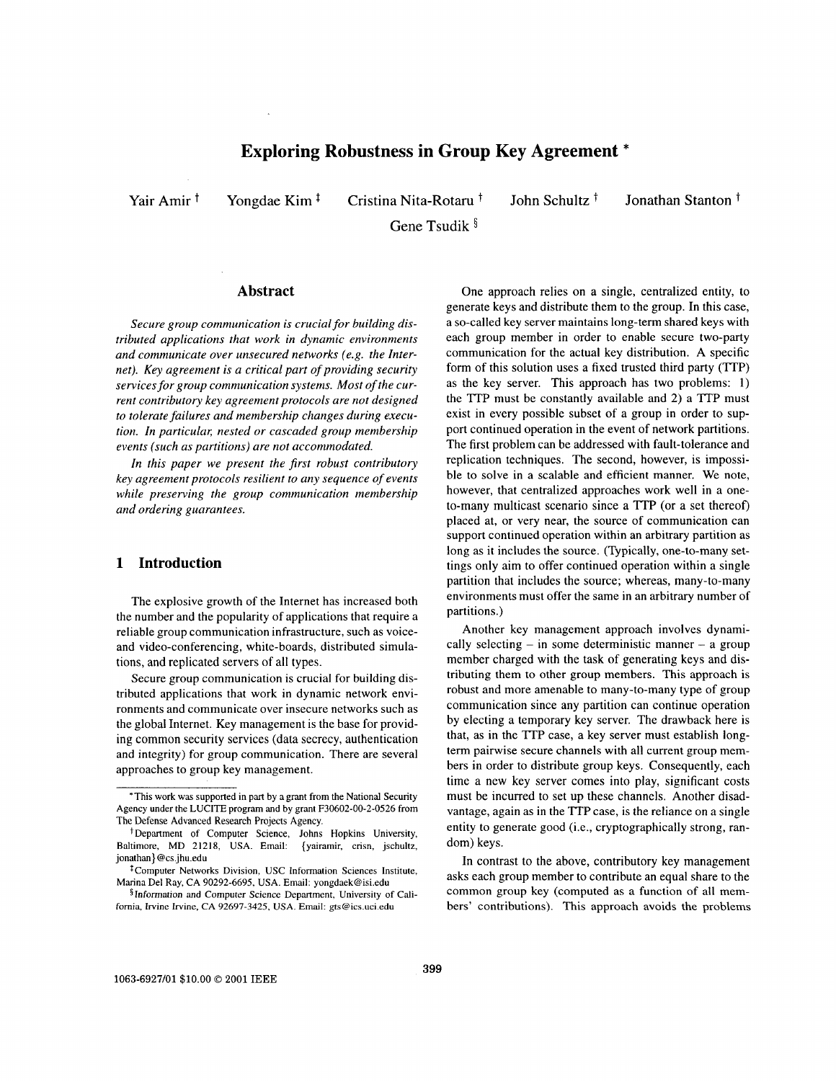# **Exploring Robustness in Group Key Agreement** \*

Yair Amir  $^{\dagger}$  Yongdae Kim<sup> $\ddagger$ </sup> Cristina Nita-Rotaru  $^{\dagger}$  John Schultz  $^{\dagger}$  Jonathan Stanton  $^{\dagger}$ 

Gene **Tsudik** *<sup>5</sup>*

#### **Abstract**

*Secure group communication is crucial for building distributed applications that work in dynamic environments and communicate over unsecured networks (e.g. the Internet). Key agreement is a critical part of providing security*  services for group communication systems. Most of the cur*rent contributoty key agreement protocols are not designed to tolerate failures and membership changes during execution. In particular; nested or cascaded group membership events (such as partitions) are not accommodated.* 

*In this paper we present the first robust contributory key agreement protocols resilient to any sequence of events while preserving the group communication membership and ordering guarantees.* 

# **1 Introduction**

The explosive growth of the Internet has increased both the number and the popularity of applications that require a reliable group communication infrastructure, such as voiceand video-conferencing, white-boards, distributed simulations, and replicated servers of all types.

Secure group communication is crucial for building distributed applications that work in dynamic network environments and communicate over insecure networks such as the global Internet. Key management is the base for providing common security services (data secrecy, authentication and integrity) for group communication. There are several approaches to group key management.

One approach relies on a single, centralized entity, to generate keys and distribute them to the group. In this case, a so-called key server maintains long-term shared keys with each group member in order to enable secure two-party communication for the actual key distribution. A specific form of this solution uses a fixed trusted third party (TTP) as the key server. This approach has two problems: **1)**  the TTP must be constantly available and *2)* a **TTP** must exist in every possible subset of a group in order to support continued operation in the event of network partitions. The first problem can be addressed with fault-tolerance and replication techniques. The second, however, is impossible to solve in a scalable and efficient manner. We note, however, that centralized approaches work well in a oneto-many multicast scenario since a TTP (or a set thereof) placed at, or very near, the source of communication can support continued operation within an arbitrary partition as long as it includes the source. (Typically, one-to-many settings only aim to offer continued operation within a single partition that includes the source; whereas, many-to-many environments must offer the same in an arbitrary number of partitions.)

Another key management approach involves dynamically selecting  $-$  in some deterministic manner  $-$  a group member charged with the task of generating keys and distributing them to other group members. This approach is robust and more amenable to many-to-many type of group communication since any partition can continue operation by electing a temporary key server. The drawback here is that, as in the TTP case, a key server must establish longterm pairwise secure channels with all current group members in order to distribute group keys. Consequently, each time a new key server comes into play, significant costs must be incurred to set up these channels. Another disadvantage, again as in the TTP case, is the reliance on a single entity to generate good (i.e., cryptographically strong, random) keys.

In contrast to the above, contributory key management asks each group member to contribute an equal share to the common group key (computed as a function of all members' contributions). This approach avoids the problems

<sup>&#</sup>x27;This work was supported in part by a grant from the National Security Agency under the LUCITE program and by grant F30602-00-2-0526 from The Defense Advanced Research Projects Agency.

<sup>+</sup>Department of Computer Science, Johns Hopkins University, Baltimore, MD 21218, USA. Email: {yairamir, crisn, jschultz, jonathan} [@cs.jhu.edu](mailto:cs.jhu.edu)

<sup>\$</sup>Computer Networks Division, USC Information Sciences Institute, Marina Del Ray, CA 90292-6695, USA. Email: [yongdaek@isi.edu](mailto:yongdaek@isi.edu)

<sup>§</sup>Information **and** Computer Science Department, University of California, Irvine Irvine, CA 92697-3425, USA. Email: [gts@ics.uci.edu](mailto:gts@ics.uci.edu)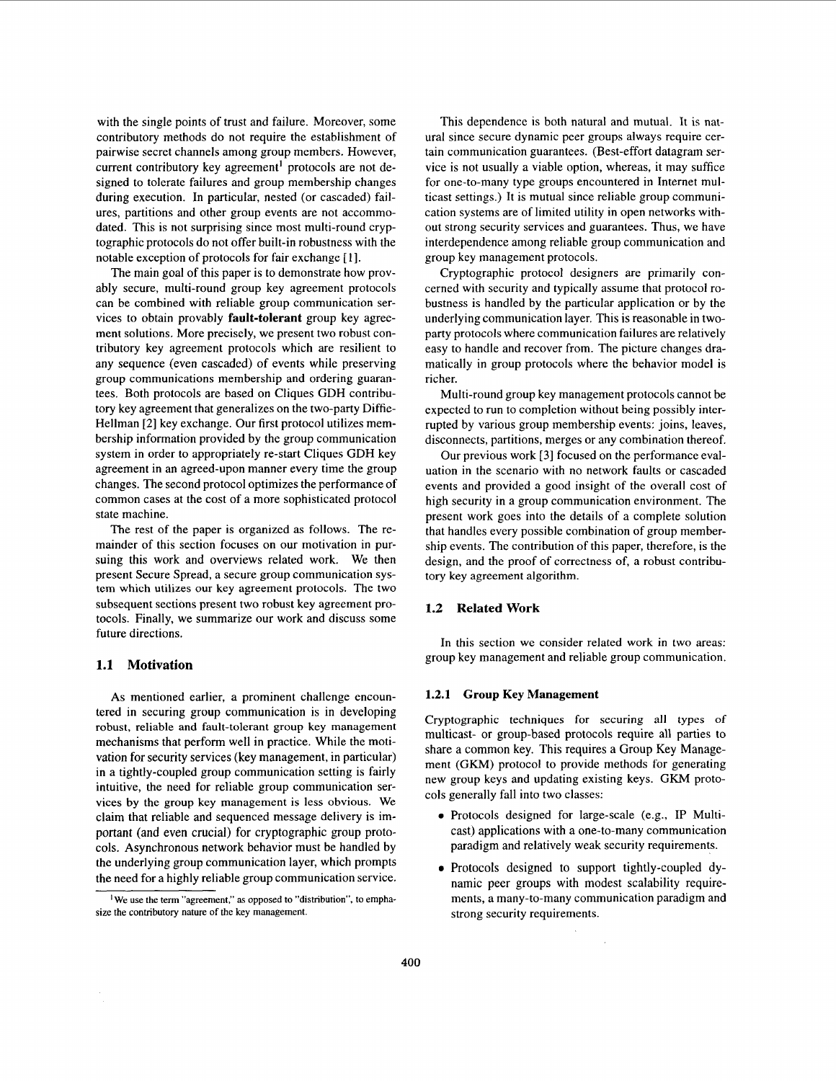with the single points of trust and failure. Moreover, some contributory methods do not require the establishment of pairwise secret channels among group members. However, current contributory key agreement' protocols are not designed to tolerate failures and group membership changes during execution. In particular, nested (or cascaded) failures, partitions and other group events are not accommodated. This is not surprising since most multi-round cryptographic protocols do not offer built-in robustness with the notable exception of protocols for fair exchange [ **11.** 

The main goal of this paper is to demonstrate how provably secure, multi-round group key agreement protocols can be combined with reliable group communication services to obtain provably **fault-tolerant** group key agreement solutions. More precisely, we present two robust contributory key agreement protocols which are resilient to any sequence (even cascaded) of events while preserving group communications membership and ordering guarantees. Both protocols are based on Cliques GDH contributory key agreement that generalizes on the two-party Diffie-Hellman [2] key exchange. Our first protocol utilizes membership information provided by the group communication system in order to appropriately re-start Cliques GDH key agreement in an agreed-upon manner every time the group changes. The second protocol optimizes the performance of common cases at the cost of a more sophisticated protocol state machine.

The rest of the paper is organized as follows. The remainder of this section focuses on our motivation in pursuing this work and overviews related work. We then present Secure Spread, a secure group communication system which utilizes our key agreement protocols. The two subsequent sections present two robust key agreement protocols. Finally, we summarize our work and discuss some future directions.

### **1.1 Motivation**

As mentioned earlier, a prominent challenge encountered in securing group communication is in developing robust, reliable and fault-tolerant group key management mechanisms that perform well in practice. While the motivation for security services (key management, in particular) in a tightly-coupled group communication setting is fairly intuitive, the need for reliable group communication services by the group key management is less obvious. We claim that reliable and sequenced message delivery is important (and even crucial) for cryptographic group protocols. Asynchronous network behavior must be handled by the underlying group communication layer, which prompts the need for a highly reliable group communication service.

This dependence is both natural and mutual. It **is** natural since secure dynamic peer groups always require certain communication guarantees. (Best-effort datagram service is not usually a viable option, whereas, it may suffice for one-to-many type groups encountered in Internet multicast settings.) It is mutual since reliable group communication systems are of limited utility in open networks without strong security services and guarantees. Thus, we have interdependence among reliable group communication and group key management protocols.

Cryptographic protocol designers are primarily concerned with security and typically assume that protocol robustness is handled by the particular application or by the underlying communication layer. This is reasonable in twoparty protocols where communication failures are relatively easy to handle and recover from. The picture changes dramatically in group protocols where the behavior model is richer.

Multi-round group key management protocols cannot be expected to run to completion without being possibly interrupted by various group membership events: joins, leaves, disconnects, partitions, merges or any combination thereof.

Our previous work **[3]** focused on the performance evaluation in the scenario with no network faults or cascaded events and provided a good insight of the overall cost of high security in a group communication environment. The present work goes into the details of a complete solution that handles every possible combination of group membership events. The contribution of this paper, therefore, is the design, and the proof of correctness of, a robust contributory key agreement algorithm.

### **1.2 Related Work**

In this section we consider related work in two areas: group key management and reliable group communication.

#### **1.2.1 Group Key Management**

Cryptographic techniques for securing all types **of**  multicast- or group-based protocols require all parties to share a common key. This requires a Group Key Management (GKM) protocol to provide methods for generating new group keys and updating existing keys. GKM protocols generally fall into two classes:

- Protocols designed for large-scale (e.g., IP Multicast) applications with a one-to-many communication paradigm and relatively weak security requirements.
- Protocols designed to support tightly-coupled dynamic peer groups with modest scalability requirements, a many-to-many communication paradigm and strong security requirements.

<sup>&#</sup>x27;We use the term "agreement," as opposed to "distribution", to emphasize the contributory nature of the key management.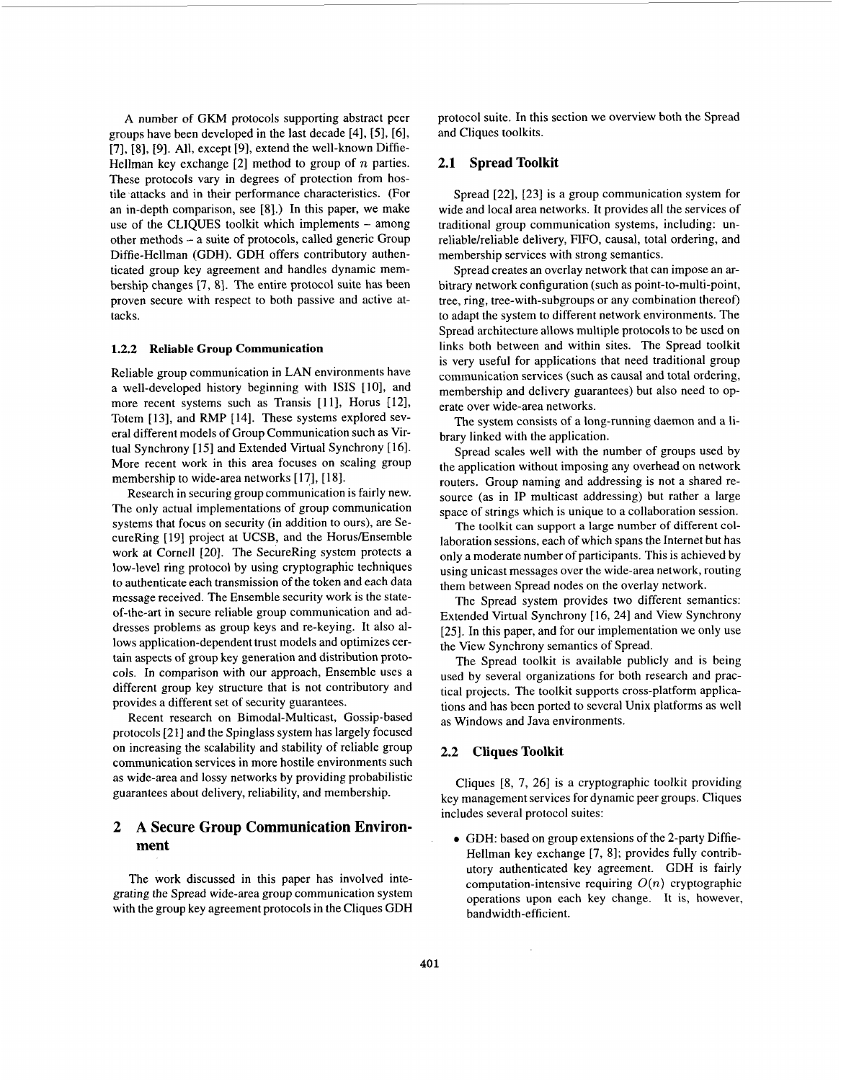A number of GKM protocols supporting abstract peer groups have been developed in the last decade  $[4]$ ,  $[5]$ ,  $[6]$ , [7], [8], [9]. All, except [9], extend the well-known Diffie-Hellman key exchange [2] method to group of *n* parties. These protocols vary in degrees of protection from hostile attacks and in their performance characteristics. (For an in-depth comparison, see [8].) In this paper, we make use of the CLIQUES toolkit which implements - among other methods - a suite of protocols, called generic Group Diffie-Hellman (GDH). GDH offers contributory authenticated group key agreement and handles dynamic membership changes [7, 81. The entire protocol suite has been proven secure with respect to both passive and active attacks.

#### **1.2.2 Reliable Group Communication**

Reliable group communication in LAN environments have a well-developed history beginning with **ISIS** [IO], and more recent systems such as Transis [11], Horus [12], Totem [13], and RMP **[14].** These systems explored several different models of Group Communication such as Virtual Synchrony [15] and Extended Virtual Synchrony [16]. More recent work in this area focuses on scaling group membership to wide-area networks [17], [18].

Research in securing group communication is fairly new. The only actual implementations of group communication systems that focus on security (in addition to ours), are SecureRing [19] project at UCSB, and the Horus/Ensemble work at Cornell [20]. The SecureRing system protects a low-level ring protocol by using cryptographic techniques to authenticate each transmission of the token and each data message received. The Ensemble security work is the stateof-the-art in secure reliable group communication and addresses problems as group keys and re-keying. It also allows application-dependent trust models and optimizes certain aspects of group key generation and distribution protocols. In comparison with our approach, Ensemble uses a different group key structure that is not contributory and provides **a** different set of security guarantees.

Recent research on Bimodal-Multicast, Gossip-based protocols [21] and the Spinglass system has largely focused on increasing the scalability and stability of reliable group communication services in more hostile environments such as wide-area and lossy networks by providing probabilistic guarantees about delivery, reliability, and membership.

# **2 A Secure Group Communication Environment**

The work discussed in this paper has involved integrating the Spread wide-area group communication system with the group key agreement protocols in the Cliques GDH protocol suite. In this section we overview both the Spread and Cliques toolkits.

## **2.1 Spread Toolkit**

Spread [22], [23] is a group communication system for wide and local area networks. It provides all the services of traditional group communication systems, including: unreliable/reliable delivery, FIFO, causal, total ordering, and membership services with strong semantics.

Spread creates an overlay network that can impose an arbitrary network configuration (such as point-to-multi-point, tree, ring, tree-with-subgroups or any combination thereof) to adapt the system to different network environments. The Spread architecture allows multiple protocols to be used on links both between and within sites. The Spread toolkit is very useful for applications that need traditional group communication services (such as causal and total ordering, membership and delivery guarantees) but also need to operate over wide-area networks.

The system consists of a long-running daemon and **a** library linked with the application.

Spread scales well with the number of groups used by the application without imposing any overhead on network routers. Group naming and addressing is not a shared resource (as in IP multicast addressing) but rather a large space of strings which is unique to a collaboration session.

The toolkit can support a large number of different collaboration sessions, each of which spans the Internet but has only a moderate number of participants. This is achieved by using unicast messages over the wide-area network, routing them between Spread nodes on the overlay network.

The Spread system provides two different semantics: Extended Virtual Synchrony [ 16,241 and View Synchrony [25]. In this paper, and for our implementation we only use the View Synchrony semantics of Spread.

The Spread toolkit is available publicly and is being used by several organizations for both research and practical projects. The toolkit supports cross-platform applications and has been ported to several Unix platforms as well as Windows and Java environments.

#### **2.2 Cliques Toolkit**

Cliques  $[8, 7, 26]$  is a cryptographic toolkit providing key management services for dynamic peer groups. Cliques includes several protocol suites:

*0* GDH: based on group extensions of the 2-party Diffie-Hellman key exchange [7, 8]; provides fully contributory authenticated key agreement. GDH is fairly computation-intensive requiring  $O(n)$  cryptographic operations upon each key change. It is, however, bandwidth-efficient.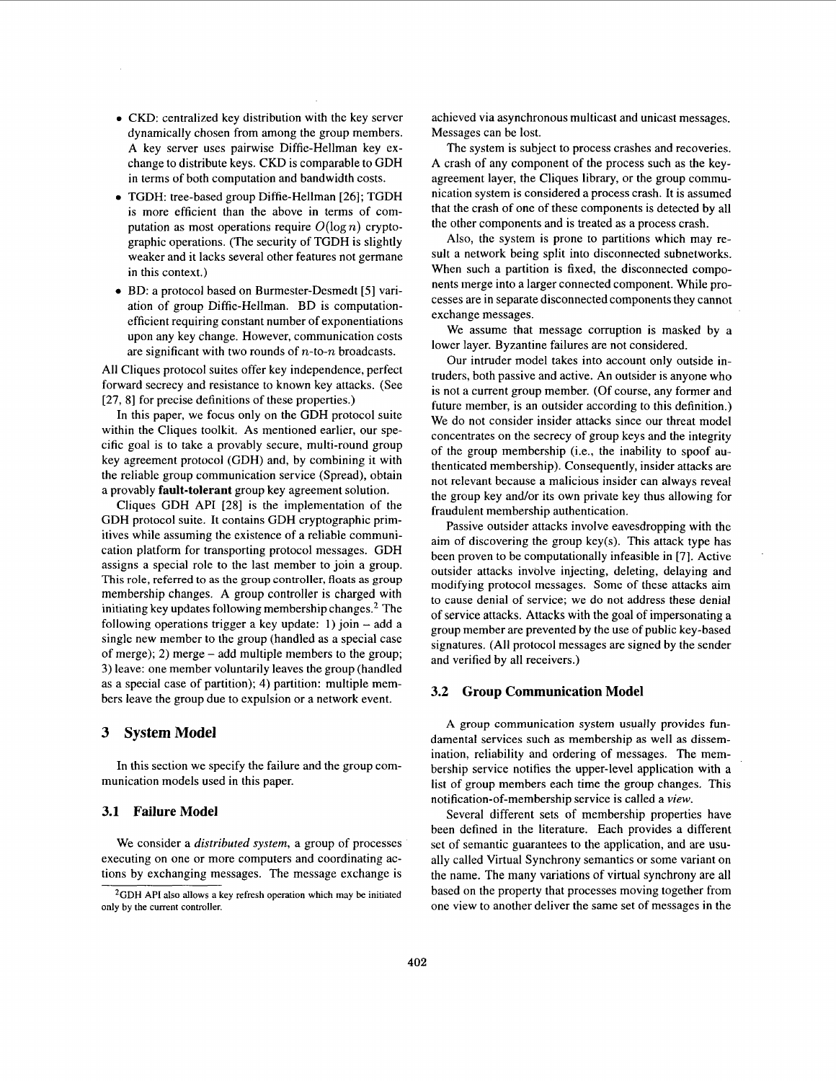- CKD: centralized key distribution with the key server dynamically chosen from among the group members. A key server uses pairwise Diffie-Hellman key exchange to distribute keys. CKD is comparable to GDH in terms of both computation and bandwidth costs.
- TGDH: tree-based group Diffie-Hellman [26]; TGDH is more efficient than the above in terms of computation as most operations require  $O(\log n)$  cryptographic operations. (The security of TGDH is slightly weaker and it lacks several other features not germane in this context.)
- BD: a protocol based on Burmester-Desmedt [5] variation of group Diffie-Hellman. BD is computationefficient requiring constant number of exponentiations upon any key change. However, communication costs are significant with two rounds of  $n$ -to- $n$  broadcasts.

All Cliques protocol suites offer key independence, perfect forward secrecy and resistance to known key attacks. (See [27, 81 for precise definitions of these properties.)

In this paper, we focus only on the GDH protocol suite within the Cliques toolkit. As mentioned earlier, our specific goal is to take a provably secure, multi-round group key agreement protocol (GDH) and, by combining it with the reliable group communication service (Spread), obtain a provably **fault-tolerant** group key agreement solution.

Cliques GDH API [28] is the implementation of the GDH protocol suite. It contains GDH cryptographic primitives while assuming the existence of a reliable communication platform for transporting protocol messages. GDH assigns a special role to the last member to join a group. This role, referred to as the group controller, floats as group membership changes. A group controller is charged with initiating key updates following membership changes. $2$  The following operations trigger a key update: 1) join  $-$  add a single new member to the group (handled as a special case of merge); **2)** merge - add multiple members to the group; **3)** leave: one member voluntarily leaves the group (handled as a special case of partition); 4) partition: multiple members leave the group due to expulsion or a network event.

# **3 System Model**

In this section we specify the failure and the group communication models used in this paper.

## **3.1 Failure Model**

We consider a *distributed system,* a group of processes executing on one or more computers and coordinating actions by exchanging messages. The message exchange is achieved via asynchronous multicast and unicast messages. Messages can be lost.

The system is subject to process crashes and recoveries. A crash of any component of the process such as the keyagreement layer, the Cliques library, or the group communication system is considered a process crash. It is assumed that the crash of one of these components is detected by all the other components and is treated as a process crash.

Also, the system is prone to partitions which may **re**sult a network being split into disconnected subnetworks. When such a partition is fixed, the disconnected components merge into a larger connected component. While processes are in separate disconnected components they cannot exchange messages.

We assume that message corruption **is** masked by a lower layer. Byzantine failures are not considered.

Our intruder model takes into account only outside intruders, both passive and active. An outsider is anyone who is not a current group member. (Of course, any former and future member, is an outsider according to this definition.) We do not consider insider attacks since our threat model concentrates on the secrecy of group keys and the integrity of the group membership (i.e., the inability to spoof authenticated membership). Consequently, insider attacks are not relevant because a malicious insider can always reveal the group key and/or its own private key thus allowing for fraudulent membership authentication.

Passive outsider attacks involve eavesdropping with the aim of discovering the group key(s). This attack type has been proven to be computationally infeasible in [7]. Active outsider attacks involve injecting, deleting, delaying and modifying protocol messages. Some of these attacks aim to cause denial of service; we do not address these denial of service attacks. Attacks with the goal of impersonating a group member are prevented by the use of public key-based signatures. (All protocol messages are signed by the sender and verified by all receivers.)

### **3.2 Group Communication Model**

**A** group communication system usually provides fundamental services such as membership **as** well as dissemination, reliability and ordering of messages. The membership service notifies the upper-level application with a list of group members each time the group changes. This notification-of-membership service is called a *view.* 

Several different sets of membership properties have been defined in the literature. Each provides a different set of semantic guarantees to the application, and are usually called Virtual Synchrony semantics or some variant on the name. The many variations of virtual synchrony are all based on the property that processes moving together from one view to another deliver the same set of messages in the

**<sup>\*</sup>GDH API** also allows a key refresh operation which may be initiated only by the current controller.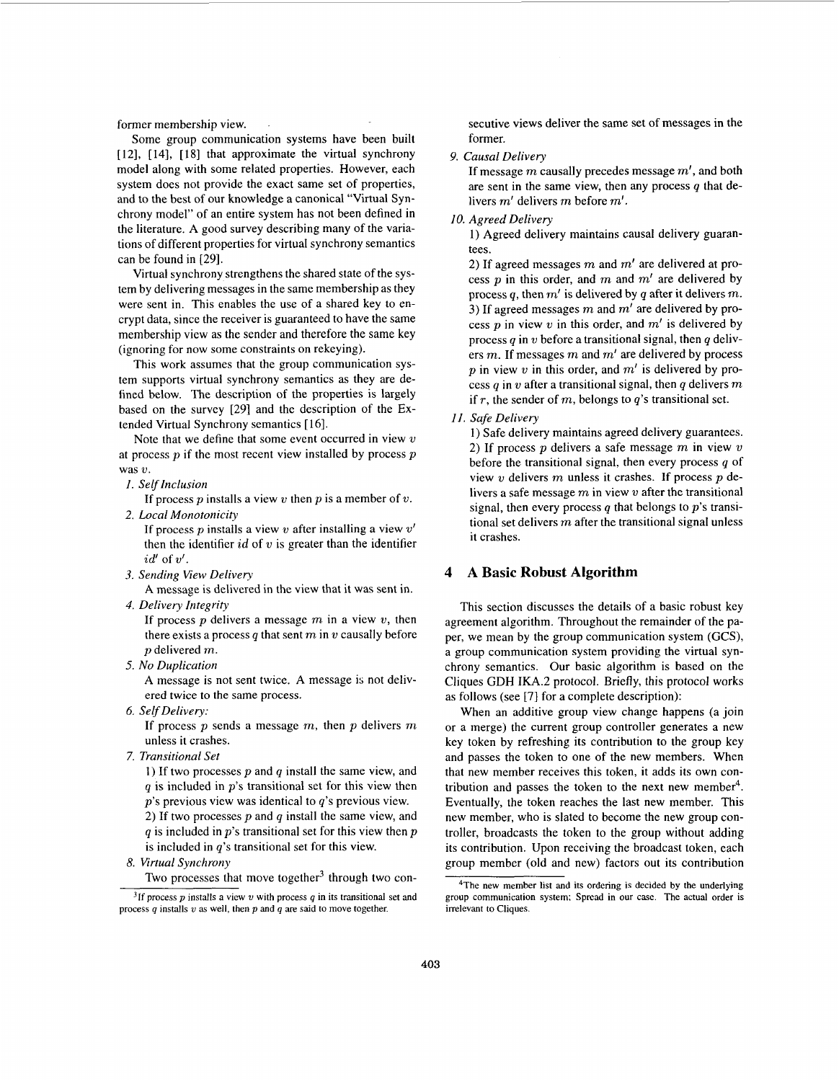former membership view.

Some group communication systems have been built [12], [14], [18] that approximate the virtual synchrony model along with some related properties. However, each system does not provide the exact same set of properties, and to the best of our knowledge a canonical "Virtual Synchrony model" of an entire system has not been defined in the literature. **A** good survey describing many of the variations of different properties for virtual synchrony semantics can be found in [291.

Virtual synchrony strengthens the shared state of the system by delivering messages in the same membership as they were sent in. This enables the use of a shared key to encrypt data, since the receiver is guaranteed to have the same membership view as the sender and therefore the same key (ignoring for now some constraints on rekeying).

This work assumes that the group communication system supports virtual synchrony semantics as they are defined below. The description of the properties is largely based on the survey [29] and the description of the **Ex**tended Virtual Synchrony semantics [16].

Note that we define that some event occurred in view *<sup>U</sup>* at process *p* if the most recent view installed by process *p*  was *U.* 

*1. Self Inclusion* 

2. *Local Monotonicity*  If process  $p$  installs a view  $v$  then  $p$  is a member of  $v$ .

If process *p* installs a view *w* after installing a view *U'*  then the identifier id of *U* is greater than the identifier  $id'$  of  $v'$ .

*3. Sending View Delivery* 

*4. Delivery Integrity*  **A** message is delivered in the view that it was sent in.

If process *p* delivers a message *m* in a view *U,* then there exists a process  $q$  that sent  $m$  in  $v$  causally before *p* delivered *m.* 

*5. No Duplication* 

**A** message is not sent twice. **A** message is not delivered twice to the same process.

**6.**  *Self Deliver),:* 

If process *p* sends a message *m,* then *p* delivers *m*  unless it crashes.

*7. Transitional Set* 

**1)** If two processes *p* and *q* install the same view, and *q* is included in *p's* transitional set for this view then *p's* previous view was identical to *q's* previous view.

2) If two processes *p* and *q* install the same view, and *q* is included in *p's* transitional set for this view then *p*  is included in *q's* transitional set for this view.

*8. Virtual Synchrony* 

Two processes that move together<sup>3</sup> through two con-

secutive views deliver the same set of messages in the former.

#### *9. Causal Delivery*

If message *m* causally precedes message *m',* and both are sent in the same view, then any process *q* that delivers *m'* delivers *m* before *m'.* 

*10. Agreed Delivery* 

1) Agreed delivery maintains causal delivery guarantees.

2) If agreed messages *m* and *m'* are delivered at process  $p$  in this order, and  $m$  and  $m'$  are delivered by process *q,* then *m'* is delivered by *q* after it delivers *m.*  3) If agreed messages *m* and *m'* are delivered by process  $p$  in view  $v$  in this order, and  $m'$  is delivered by process *q* in *U* before a transitional signal, then *q* delivers *m.* If messages *m* and *m'* are delivered by process  $p$  in view  $v$  in this order, and  $m'$  is delivered by process *q* in *U* after a transitional signal, then *q* delivers *m*  if *T,* the sender of *m,* belongs to *q's* transitional set.

#### *11. Safe Delivery*

1) Safe delivery maintains agreed delivery guarantees. 2) If process *p* delivers a safe message *m* in view *<sup>U</sup>* before the transitional signal, then every process *q* of view *U* delivers *m* unless it crashes. If process *p* delivers a safe message *m* in view *U* after the transitional signal, then every process *q* that belongs to *p's* transitional set delivers *m* after the transitional signal unless it crashes.

# **4 A Basic Robust Algorithm**

This section discusses the details of a basic robust key agreement algorithm. Throughout the remainder of the paper, we mean by the group communication system (GCS), a group communication system providing the virtual synchrony semantics. Our basic algorithm is based on the Cliques GDH IKA.2 protocol. Briefly, this protocol works as follows (see [7] for a complete description):

When an additive group view change happens (a join or a merge) the current group controller generates a new key token by refreshing its contribution to the group key and passes the token to one of the new members. When that new member receives this token, it adds its own contribution and passes the token to the next new member<sup>4</sup>. Eventually, the token reaches the last new member. This new member, who is slated to become the new group controller, broadcasts the token to the group without adding its contribution. Upon receiving the broadcast token, each group member (old and new) factors out its contribution

**<sup>31</sup>f** process p installs a view *v* with process *q* in its transitional set and process *q* installs *v* **as** well, then p and *q* are said to move together.

**<sup>4</sup>The** new member list and its ordering is decided by the underlying group communication system; Spread in our case. The actual order is irrelevant to Cliques.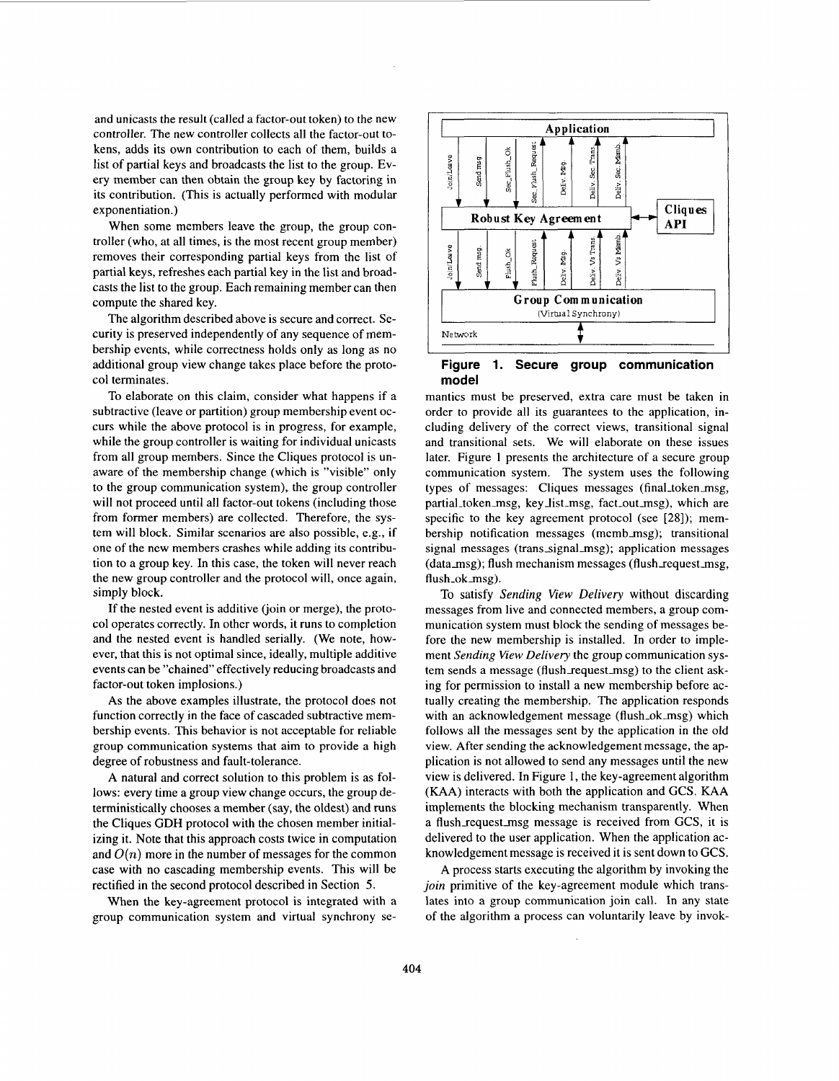and unicasts the result (called a factor-out token) to the new controller. The new controller collects all the factor-out tokens, adds its own contribution to each of them, builds a list of partial keys and broadcasts the list to the group. Every member can then obtain the group key by factoring in its contribution. (This is actually performed with modular exponentiation.)

When some members leave the group, the group controller (who, at all times, is the most recent group member) removes their corresponding partial keys from the list of partial keys, refreshes each partial key in the list and broadcasts the list to the group. Each remaining member can then compute the shared key.

The algorithm described above is secure and correct. Security is preserved independently of any sequence of membership events, while correctness holds only as long as no additional group view change takes place before the protocol terminates.

To elaborate on this claim, consider what happens if a subtractive (leave or partition) group membership event occurs while the above protocol is in progress, for example, while the group controller is waiting for individual unicasts from all group members. Since the Cliques protocol is unaware of the membership change (which is "visible" only to the group communication system), the group controller will not proceed until all factor-out tokens (including those from former members) are collected. Therefore, the system will block. Similar scenarios are also possible, e.g., if one of the new members crashes while adding its contribution to a group key. In this case, the token will never reach the new group controller and the protocol will, once again, simply block.

If the nested event is additive (join or merge), the protocol operates correctly. In other words, it runs to completion and the nested event is handled serially. (We note, however, that this is not optimal since, ideally, multiple additive events can be "chained" effectively reducing broadcasts and factor-out token implosions.)

**As** the above examples illustrate, the protocol does not function correctly in the face of cascaded subtractive membership events. This behavior is not acceptable for reliable group communication systems that aim to provide a high degree of robustness and fault-tolerance.

**A** natural and correct solution to this problem is as follows: every time a group view change occurs, the group deterministically chooses a member (say, the oldest) and runs the Cliques GDH protocol with the chosen member initializing it. Note that this approach costs twice in computation and *O(n)* more in the number of messages for the common case with no cascading membership events. This will be rectified in the second protocol described in Section *5.* 

When the key-agreement protocol is integrated with a group communication system and virtual synchrony se-



**Figure 1. Secure group communication model** 

mantics must be preserved, extra care must be taken in order to provide all its guarantees to the application, including delivery of the correct views, transitional signal and transitional sets. We will elaborate on these issues later. Figure 1 presents the architecture of a secure group communication system. The system uses the following types of messages: Cliques messages (final\_token\_msg, partial\_token\_msg, key\_list\_msg, fact\_out\_msg), which are specific to the key agreement protocol (see [28]); membership notification messages (memb\_msg); transitional signal messages (trans\_signal\_msg); application messages  $(data_msg)$ ; flush mechanism messages (flush\_request\_msg, flush\_ok\_msg).

To satisfy *Sending View Delivery* without discarding messages from live and connected members, a group communication system must block the sending of messages before the new membership is installed. In order to implement *Sending View Delivery* the group communication system sends a message (flush\_request\_msg) to the client asking for permission to install a new membership before actually creating the membership. The application responds with an acknowledgement message (flush<sub>-ok-msg</sub>) which follows all the messages sent by the application in the old view. After sending the acknowledgement message, the application is not allowed to send any messages until the new view is delivered. In Figure 1, the key-agreement algorithm **(KAA)** interacts with both the application and GCS. **KAA**  implements the blocking mechanism transparently. When a flush\_request\_msg message is received from GCS, it is delivered to the user application. When the application acknowledgement message is received it is sent down to GCS.

**A** process starts executing the algorithm by invoking the *join* primitive of the key-agreement module which translates into a group communication join call. In any state of the algorithm a process can voluntarily leave by invok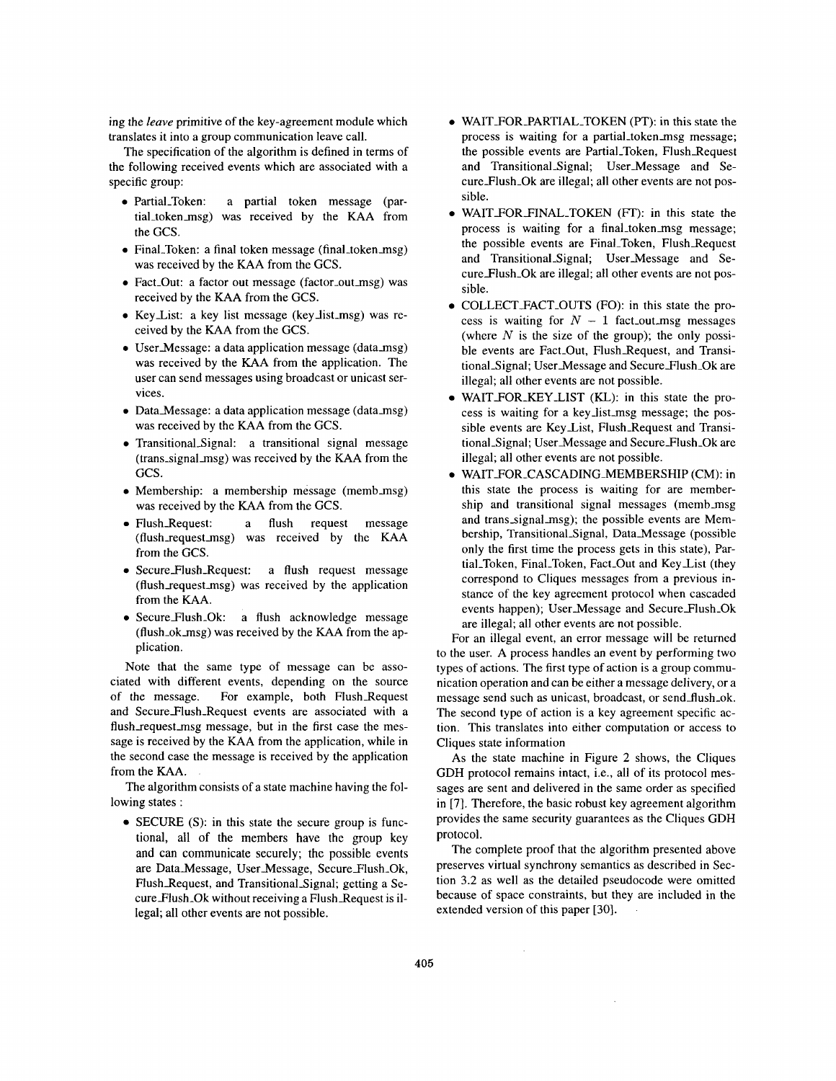translates it into a group communication leave call. **process** is waiting for a partial<sub>-token-msg message;</sub>

the following received events which are associated with a and Transitional Signal; User Message and Sespecific group: cure\_Flush\_Ok are illegal; all other events are not pos-

- Partial-Token: a partial token message (partial<sub>-token-msg</sub>) was received by the KAA from the GCS.
- Final\_Token: a final token message (final\_token\_msg) was received by the KAA from the GCS.
- Fact<sub>-Out</sub>: a factor out message (factor-out\_msg) was received by the KAA from the GCS.
- KeyList: a key list message (keylist-msg) was received by the KAA from the GCS.
- $\bullet$  User\_Message: a data application message (data\_msg) was received by the KAA from the application. The user can send messages using broadcast or unicast services.
- Data\_Message: a data application message (data\_msg) was received by the KAA from the GCS.
- Transitional-Signal: a transitional signal message (trans-signalmsg) was received by the KAA from the GCS.
- Membership: a membership message (memb\_msg) was received by the KAA from the GCS.
- Flush\_Request: a flush request message (flush\_request\_msg) was received by the KAA from the GCS.
- Secure\_Flush\_Request: a flush request message (flush\_request\_msg) was received by the application from the KAA.
- Secure\_Flush\_Ok: a flush acknowledge message  $(hush_ok_ msg)$  was received by the KAA from the application.

Note that the same type of message can be associated with different events, depending on the source of the message. For example, both Flush\_Request and Secure\_Flush\_Request events are associated with a flush\_request\_msg message, but in the first case the message is received by the KAA from the application, while in the second case the message is received by the application from the KAA.

The algorithm consists of a state machine having the following states :

• SECURE (S): in this state the secure group is functional, all of the members have the group key and can communicate securely; the possible events are Data\_Message, User\_Message, Secure\_Flush\_Ok, Flush\_Request, and Transitional\_Signal; getting a Secure\_Flush\_Ok without receiving a Flush\_Request is illegal; all other events are not possible.

- ing the *leave* primitive of the key-agreement module which WAIT\_FOR\_PARTIAL\_TOKEN (PT): in this state the The specification of the algorithm is defined in terms of the possible events are Partial<sub>-Token</sub>, Flush<sub>-Request</sub> sible.
	- WAIT\_FOR\_FINAL\_TOKEN (FT): in this state the process is waiting for a final-token-msg message; the possible events are Final\_Token, Flush\_Request and Transitional-Signal; User\_Message and Secure\_Flush\_Ok are illegal; all other events are not possible.
	- COLLECT\_FACT\_OUTS (FO): in this state the process is waiting for  $N-1$  fact-out-msg messages (where  $N$  is the size of the group); the only possible events are Fact<sub>-Out, Flush-Request, and Transi-</sub> tional\_Signal; User\_Message and Secure\_Flush\_Ok are illegal; all other events are not possible.
	- $\bullet$  WAIT\_FOR\_KEY\_LIST (KL): in this state the process is waiting for a key\_list\_msg message; the possible events are KeyList, Flush-Request and Transitional\_Signal; User\_Message and Secure\_Flush\_Ok are illegal; all other events are not possible.
	- WAIT\_FOR\_CASCADING\_MEMBERSHIP (CM): in this state the process is waiting for are membership and transitional signal messages (memb\_msg and trans\_signal\_msg); the possible events are Membership, Transitional<sub>-Signal</sub>, Data<sub>-Message</sub> (possible only the first time the process gets in this state), Partial-Token, Final-Token, Fact-Out and KeyList (they correspond to Cliques messages from a previous instance of the key agreement protocol when cascaded events happen); User\_Message and Secure\_Flush\_Ok are illegal; all other events are not possible.

For an illegal event, an error message will be returned to the user. A process handles an event by performing two types of actions. The first type of action is a group communication operation and can be either a message delivery, or a message send such as unicast, broadcast, or send\_flush\_ok. The second type of action is a key agreement specific action. This translates into either computation or access to Cliques state information

**As** the state machine in [Figure](#page-7-0) *2* shows, the Cliques GDH protocol remains intact, i.e., all of its protocol messages are sent and delivered in the same order as specified in [7]. Therefore, the basic robust key agreement algorithm provides the same security guarantees as the Cliques GDH protocol.

The complete proof that the algorithm presented above preserves virtual synchrony semantics as described in Section **3.2** as well as the detailed pseudocode were omitted because of space constraints, but they are included in the extended version of this paper [30].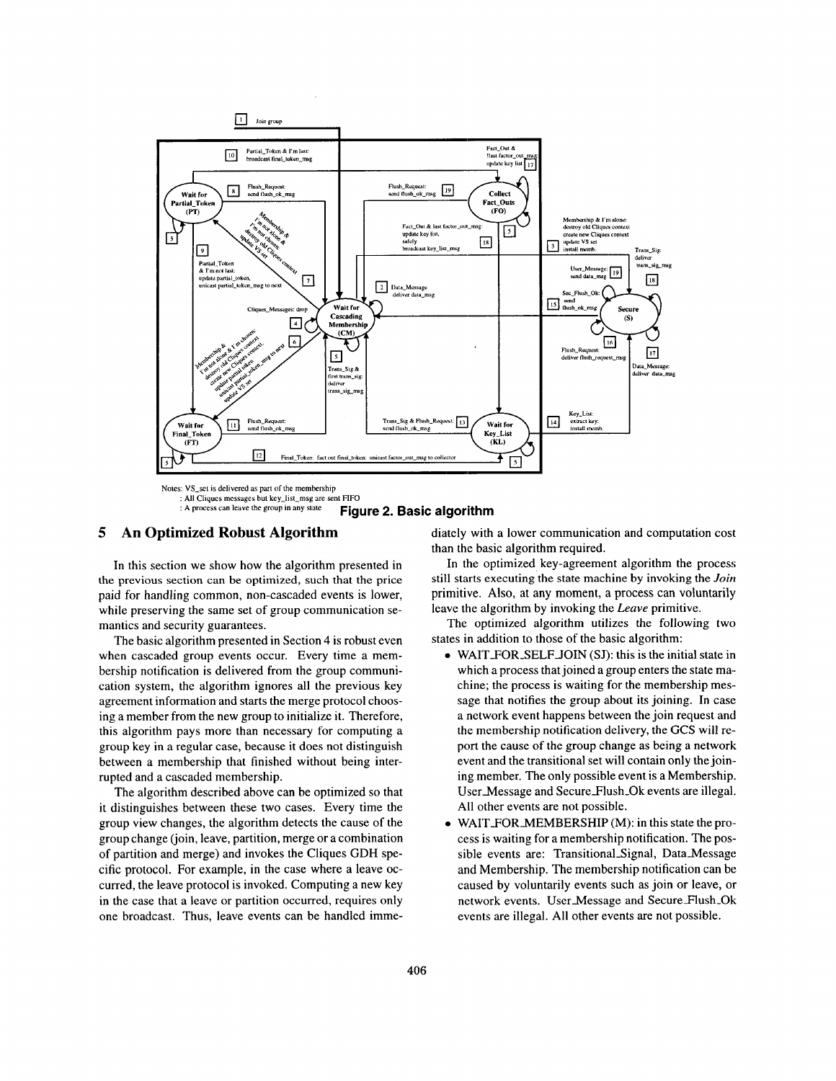<span id="page-7-0"></span>

Notes: VS-set is delivered as part of the membership : All Cliques messages but key\_list\_msg are sent FIFO <br> **A** process can leave the group in any state

**Figure 2. Basic algorithm** 

# *5* **An Optimized Robust Algorithm**

In this section we show how the algorithm presented in the previous section can be optimized, such that the price paid for handling common, non-cascaded events is lower, while preserving the same set of group communication semantics and security guarantees.

The basic algorithm presented in Section **4** is robust even when cascaded group events occur. Every time a membership notification is delivered from the group communication system, the algorithm ignores all the previous key agreement information and starts the merge protocol choosing a member from the new group to initialize it. Therefore, this algorithm pays more than necessary for computing a group key in a regular case, because it does not distinguish between a membership that finished without being interrupted and a cascaded membership.

The algorithm described above can be optimized so that it distinguishes between these two cases. Every time the group view changes, the algorithm detects the cause of the group change (join, leave, partition, merge or a combination of partition and merge) and invokes the Cliques GDH specific protocol. For example, in the case where a leave occurred, the leave protocol is invoked. Computing a new key in the case that a leave **or** partition occurred, requires only one broadcast. Thus, leave events can be handled immediately with a lower communication and computation cost than the basic algorithm required.

In the optimized key-agreement algorithm the process still starts executing the state machine by invoking the *Join*  primitive. **Also,** at any moment, a process can voluntarily leave the algorithm by invoking the *Leave* primitive.

The optimized algorithm utilizes the following two states in addition to those of the basic algorithm:

- WAIT\_FOR\_SELF\_JOIN (SJ): this is the initial state in which a process that joined a group enters the state machine; the process is waiting for the membership message that notifies the group about its joining. In case a network event happens between the join request and the membership notification delivery, the *GCS* will report the cause of the group change as being a network event and the transitional set will contain only the joining member. The only possible event is a Membership. User\_Message and Secure\_Flush\_Ok events are illegal. All other events are not possible.
- WAIT\_FOR\_MEMBERSHIP (M): in this state the process is waiting for a membership notification. The possible events are: Transitional\_Signal, Data\_Message and Membership. The membership notification can be caused by voluntarily events such as join or leave, or network events. User\_Message and Secure\_Flush\_Ok events are illegal. **All** other events are not possible.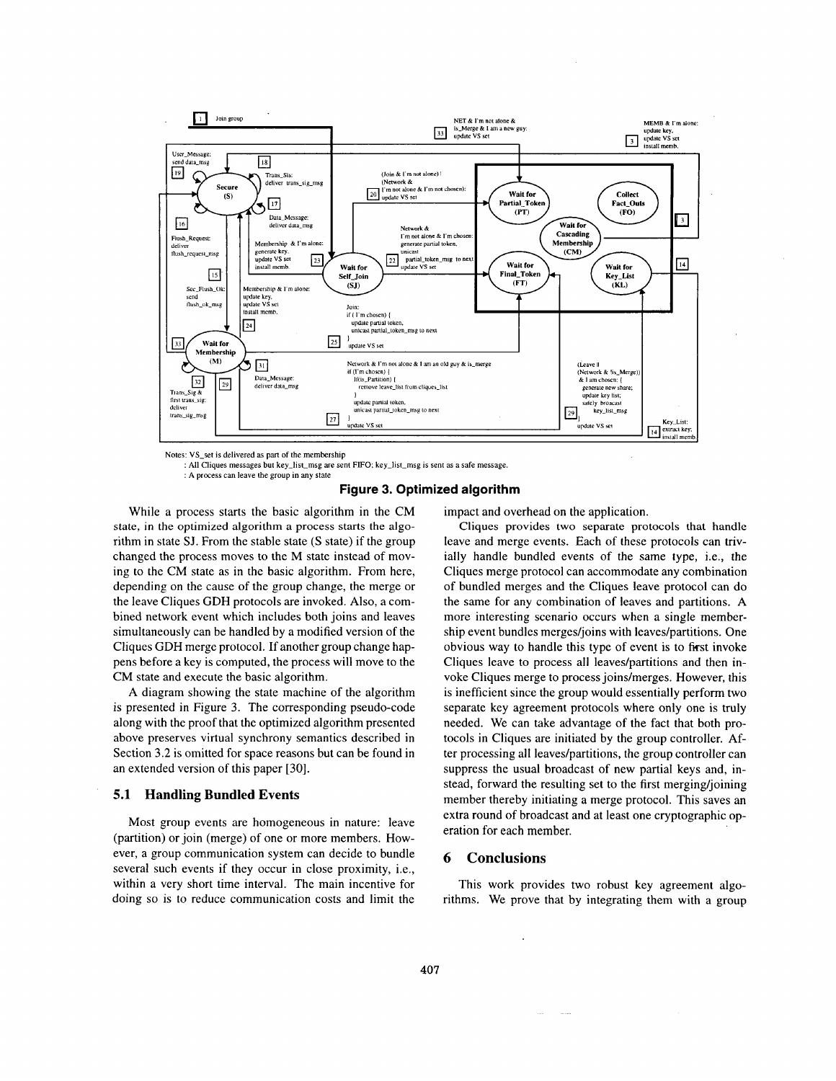

**Notes:** VS-set **is delivered as part of the membership** 

: **All Cliques messages but key-list-msg are sent FIFO; key-list-msg is sent as a safe message.**  : **A process can leave the group in any state** 

#### **Figure 3. Optimized algorithm**

While a process starts the basic algorithm in the CM state, in the optimized algorithm a process starts the algorithm in state **SJ.** From the stable state **(S** state) if the group changed the process moves to the M state instead of moving to the CM state as in the basic algorithm. From here, depending on the cause of the group change, the merge or the leave Cliques GDH protocols are invoked. Also, a combined network event which includes both joins and leaves simultaneously can be handled by a modified version of the Cliques GDH merge protocol. If another group change happens before a key is computed, the process will move to the CM state and execute the basic algorithm.

**A** diagram showing the state machine of the algorithm is presented in Figure 3. The corresponding pseudo-code along with the proof that the optimized algorithm presented above preserves virtual synchrony semantics described in Section **3.2** is omitted for space reasons but can be found in an extended version of this paper [30].

## **5.1 Handling Bundled Events**

Most group events are homogeneous in nature: leave (partition) or join (merge) of one or more members. However, a group communication system can decide to bundle several such events if they occur in close proximity, i.e., within a very short time interval. The main incentive for doing so is to reduce communication costs and limit the impact and overhead on the application.

Cliques provides two separate protocols that handle leave and merge events. Each of these protocols can trivially handle bundled events of the same type, i.e., the Cliques merge protocol can accommodate any combination of bundled merges and the Cliques leave protocol can do the same for any combination of leaves and partitions. A more interesting scenario occurs when a single membership event bundles merges/joins with leaves/partitions. One obvious way to handle this type of event is to first invoke Cliques leave to process all leaves/partitions and then invoke Cliques merge to process joins/merges. However, this is inefficient since the group would essentially perform two separate key agreement protocols where only one is truly needed. We can take advantage of the fact that both protocols in Cliques are initiated by the group controller. After processing all leaves/partitions, the group controller can suppress the usual broadcast of new partial keys and, instead, forward the resulting set to the first merging/joining member thereby initiating a merge protocol. This saves an extra round of broadcast and at least one cryptographic operation for each member.

## **6 Conclusions**

This work provides two robust key agreement algorithms. We prove that by integrating them with a group